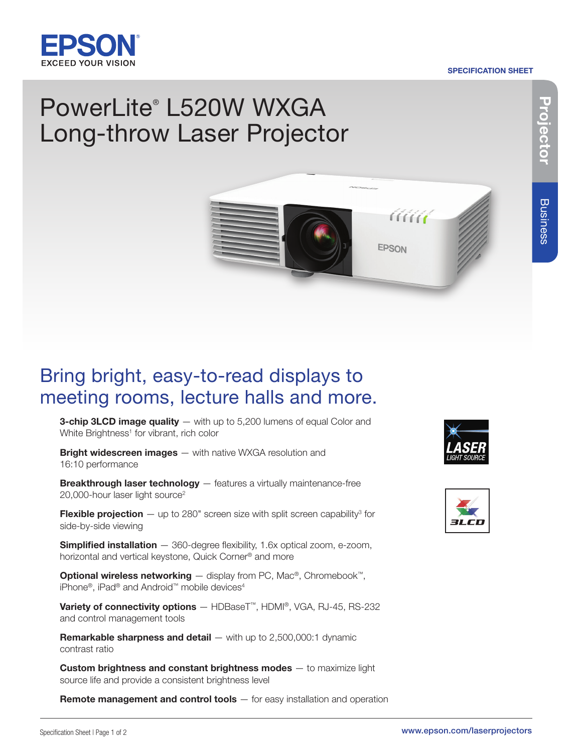

#### SPECIFICATION SHEET

# PowerLite® L520W WXGA Long-throw Laser Projector

## Bring bright, easy-to-read displays to meeting rooms, lecture halls and more.

**3-chip 3LCD image quality** — with up to 5,200 lumens of equal Color and White Brightness<sup>1</sup> for vibrant, rich color

**Bright widescreen images** - with native WXGA resolution and 16:10 performance

**Breakthrough laser technology**  $-$  features a virtually maintenance-free 20,000-hour laser light source<sup>2</sup>

**Flexible projection**  $-$  up to 280" screen size with split screen capability<sup>3</sup> for side-by-side viewing

**Simplified installation**  $-$  360-degree flexibility, 1.6x optical zoom, e-zoom, horizontal and vertical keystone, Quick Corner® and more

**Optional wireless networking** — display from PC, Mac<sup>®</sup>, Chromebook<sup>™</sup>, iPhone®, iPad® and Android™ mobile devices<sup>4</sup>

Variety of connectivity options - HDBaseT™, HDMI®, VGA, RJ-45, RS-232 and control management tools

**Remarkable sharpness and detail**  $-$  with up to 2,500,000:1 dynamic contrast ratio

Custom brightness and constant brightness modes - to maximize light source life and provide a consistent brightness level

**Remote management and control tools** – for easy installation and operation



AAA

**EPSON**